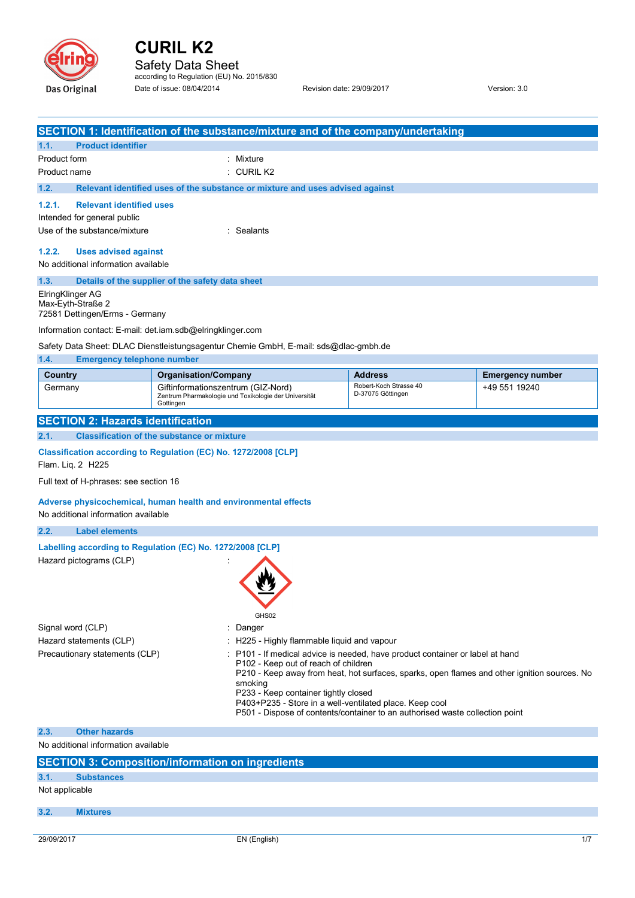

Safety Data Sheet<br>according to Regulation (EU) No. 2015/830 Date of issue: 08/04/2014 Revision date: 29/09/2017 Version: 3.0

|                                           | SECTION 1: Identification of the substance/mixture and of the company/undertaking           |                                                                                                                            |                                                                                              |  |
|-------------------------------------------|---------------------------------------------------------------------------------------------|----------------------------------------------------------------------------------------------------------------------------|----------------------------------------------------------------------------------------------|--|
| 1.1.<br><b>Product identifier</b>         |                                                                                             |                                                                                                                            |                                                                                              |  |
| Product form<br>Mixture                   |                                                                                             |                                                                                                                            |                                                                                              |  |
| Product name                              | $:$ CURIL K <sub>2</sub>                                                                    |                                                                                                                            |                                                                                              |  |
| 1.2.                                      | Relevant identified uses of the substance or mixture and uses advised against               |                                                                                                                            |                                                                                              |  |
| 1.2.1.<br><b>Relevant identified uses</b> |                                                                                             |                                                                                                                            |                                                                                              |  |
| Intended for general public               |                                                                                             |                                                                                                                            |                                                                                              |  |
| Use of the substance/mixture              | : Sealants                                                                                  |                                                                                                                            |                                                                                              |  |
| 1.2.2.<br><b>Uses advised against</b>     |                                                                                             |                                                                                                                            |                                                                                              |  |
|                                           | No additional information available                                                         |                                                                                                                            |                                                                                              |  |
| 1.3.                                      | Details of the supplier of the safety data sheet                                            |                                                                                                                            |                                                                                              |  |
| ElringKlinger AG                          |                                                                                             |                                                                                                                            |                                                                                              |  |
| Max-Eyth-Straße 2                         |                                                                                             |                                                                                                                            |                                                                                              |  |
| 72581 Dettingen/Erms - Germany            |                                                                                             |                                                                                                                            |                                                                                              |  |
|                                           | Information contact: E-mail: det.iam.sdb@elringklinger.com                                  |                                                                                                                            |                                                                                              |  |
|                                           | Safety Data Sheet: DLAC Dienstleistungsagentur Chemie GmbH, E-mail: sds@dlac-gmbh.de        |                                                                                                                            |                                                                                              |  |
| <b>Emergency telephone number</b><br>1.4. |                                                                                             |                                                                                                                            |                                                                                              |  |
| Country                                   | <b>Organisation/Company</b>                                                                 | <b>Address</b>                                                                                                             | <b>Emergency number</b>                                                                      |  |
| Germany                                   | Giftinformationszentrum (GIZ-Nord)<br>Zentrum Pharmakologie und Toxikologie der Universität | Robert-Koch Strasse 40<br>D-37075 Göttingen                                                                                | +49 551 19240                                                                                |  |
|                                           | Gottingen                                                                                   |                                                                                                                            |                                                                                              |  |
| <b>SECTION 2: Hazards identification</b>  |                                                                                             |                                                                                                                            |                                                                                              |  |
| 2.1.                                      | <b>Classification of the substance or mixture</b>                                           |                                                                                                                            |                                                                                              |  |
|                                           |                                                                                             |                                                                                                                            |                                                                                              |  |
| Flam. Liq. 2 H225                         | Classification according to Regulation (EC) No. 1272/2008 [CLP]                             |                                                                                                                            |                                                                                              |  |
| Full text of H-phrases: see section 16    |                                                                                             |                                                                                                                            |                                                                                              |  |
|                                           |                                                                                             |                                                                                                                            |                                                                                              |  |
|                                           | Adverse physicochemical, human health and environmental effects                             |                                                                                                                            |                                                                                              |  |
| No additional information available       |                                                                                             |                                                                                                                            |                                                                                              |  |
| 2.2.<br><b>Label elements</b>             |                                                                                             |                                                                                                                            |                                                                                              |  |
|                                           | Labelling according to Regulation (EC) No. 1272/2008 [CLP]                                  |                                                                                                                            |                                                                                              |  |
| Hazard pictograms (CLP)                   |                                                                                             |                                                                                                                            |                                                                                              |  |
|                                           |                                                                                             |                                                                                                                            |                                                                                              |  |
|                                           |                                                                                             |                                                                                                                            |                                                                                              |  |
|                                           |                                                                                             |                                                                                                                            |                                                                                              |  |
|                                           | GHS02                                                                                       |                                                                                                                            |                                                                                              |  |
| Signal word (CLP)                         | Danger<br>÷                                                                                 |                                                                                                                            |                                                                                              |  |
| Hazard statements (CLP)                   |                                                                                             | : H225 - Highly flammable liquid and vapour<br>P101 - If medical advice is needed, have product container or label at hand |                                                                                              |  |
| Precautionary statements (CLP)            | P102 - Keep out of reach of children                                                        |                                                                                                                            |                                                                                              |  |
|                                           |                                                                                             |                                                                                                                            | P210 - Keep away from heat, hot surfaces, sparks, open flames and other ignition sources. No |  |
|                                           | smoking<br>P233 - Keep container tightly closed                                             |                                                                                                                            |                                                                                              |  |
|                                           |                                                                                             | P403+P235 - Store in a well-ventilated place. Keep cool                                                                    |                                                                                              |  |
|                                           |                                                                                             | P501 - Dispose of contents/container to an authorised waste collection point                                               |                                                                                              |  |
| <b>Other hazards</b><br>2.3.              |                                                                                             |                                                                                                                            |                                                                                              |  |
| No additional information available       |                                                                                             |                                                                                                                            |                                                                                              |  |
|                                           | <b>SECTION 3: Composition/information on ingredients</b>                                    |                                                                                                                            |                                                                                              |  |
| 3.1.<br><b>Substances</b>                 |                                                                                             |                                                                                                                            |                                                                                              |  |
| Not applicable                            |                                                                                             |                                                                                                                            |                                                                                              |  |
|                                           |                                                                                             |                                                                                                                            |                                                                                              |  |
| 3.2.<br><b>Mixtures</b>                   |                                                                                             |                                                                                                                            |                                                                                              |  |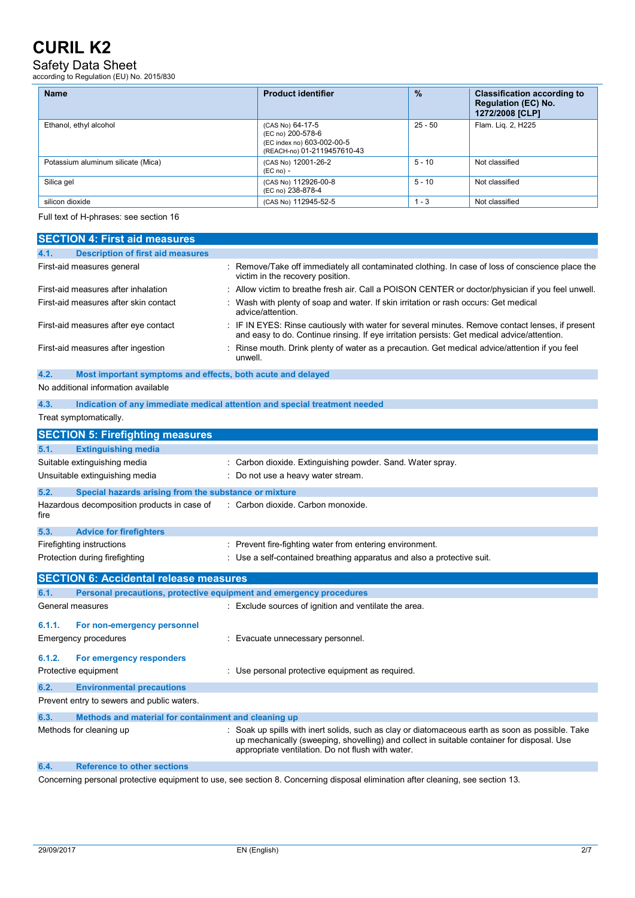# Safety Data Sheet according to Regulation (EU) No. 2015/830

| <b>Name</b>                        | <b>Product identifier</b>                                                                          | $\frac{9}{6}$ | <b>Classification according to</b><br><b>Regulation (EC) No.</b><br>1272/2008 [CLP] |
|------------------------------------|----------------------------------------------------------------------------------------------------|---------------|-------------------------------------------------------------------------------------|
| Ethanol, ethyl alcohol             | (CAS No) 64-17-5<br>(EC no) 200-578-6<br>(EC index no) 603-002-00-5<br>(REACH-no) 01-2119457610-43 | $25 - 50$     | Flam. Lig. 2, H225                                                                  |
| Potassium aluminum silicate (Mica) | (CAS No) 12001-26-2<br>$(EC no) -$                                                                 | $5 - 10$      | Not classified                                                                      |
| Silica gel                         | (CAS No) 112926-00-8<br>(EC no) 238-878-4                                                          | $5 - 10$      | Not classified                                                                      |
| silicon dioxide                    | (CAS No) 112945-52-5                                                                               | $1 - 3$       | Not classified                                                                      |

Full text of H-phrases: see section 16

|        | <b>SECTION 4: First aid measures</b>                                |                                                                                                                                                                                                                                                   |
|--------|---------------------------------------------------------------------|---------------------------------------------------------------------------------------------------------------------------------------------------------------------------------------------------------------------------------------------------|
| 4.1.   | <b>Description of first aid measures</b>                            |                                                                                                                                                                                                                                                   |
|        | First-aid measures general                                          | : Remove/Take off immediately all contaminated clothing. In case of loss of conscience place the<br>victim in the recovery position.                                                                                                              |
|        | First-aid measures after inhalation                                 | Allow victim to breathe fresh air. Call a POISON CENTER or doctor/physician if you feel unwell.                                                                                                                                                   |
|        | First-aid measures after skin contact                               | Wash with plenty of soap and water. If skin irritation or rash occurs: Get medical<br>advice/attention.                                                                                                                                           |
|        | First-aid measures after eye contact                                | IF IN EYES: Rinse cautiously with water for several minutes. Remove contact lenses, if present<br>and easy to do. Continue rinsing. If eye irritation persists: Get medical advice/attention.                                                     |
|        | First-aid measures after ingestion                                  | Rinse mouth. Drink plenty of water as a precaution. Get medical advice/attention if you feel<br>unwell.                                                                                                                                           |
| 4.2.   | Most important symptoms and effects, both acute and delayed         |                                                                                                                                                                                                                                                   |
|        | No additional information available                                 |                                                                                                                                                                                                                                                   |
| 4.3.   |                                                                     | Indication of any immediate medical attention and special treatment needed                                                                                                                                                                        |
|        | Treat symptomatically.                                              |                                                                                                                                                                                                                                                   |
|        | <b>SECTION 5: Firefighting measures</b>                             |                                                                                                                                                                                                                                                   |
| 5.1.   | <b>Extinguishing media</b>                                          |                                                                                                                                                                                                                                                   |
|        | Suitable extinguishing media                                        | : Carbon dioxide. Extinguishing powder. Sand. Water spray.                                                                                                                                                                                        |
|        | Unsuitable extinguishing media                                      | Do not use a heavy water stream.                                                                                                                                                                                                                  |
| 5.2.   | Special hazards arising from the substance or mixture               |                                                                                                                                                                                                                                                   |
| fire   | Hazardous decomposition products in case of                         | : Carbon dioxide. Carbon monoxide.                                                                                                                                                                                                                |
| 5.3.   | <b>Advice for firefighters</b>                                      |                                                                                                                                                                                                                                                   |
|        | Firefighting instructions                                           | : Prevent fire-fighting water from entering environment.                                                                                                                                                                                          |
|        | Protection during firefighting                                      | : Use a self-contained breathing apparatus and also a protective suit.                                                                                                                                                                            |
|        |                                                                     |                                                                                                                                                                                                                                                   |
|        | <b>SECTION 6: Accidental release measures</b>                       |                                                                                                                                                                                                                                                   |
| 6.1.   | Personal precautions, protective equipment and emergency procedures |                                                                                                                                                                                                                                                   |
|        | General measures                                                    | Exclude sources of ignition and ventilate the area.                                                                                                                                                                                               |
| 6.1.1. | For non-emergency personnel                                         |                                                                                                                                                                                                                                                   |
|        | <b>Emergency procedures</b>                                         | : Evacuate unnecessary personnel.                                                                                                                                                                                                                 |
| 6.1.2. | For emergency responders                                            |                                                                                                                                                                                                                                                   |
|        | Protective equipment                                                | : Use personal protective equipment as required.                                                                                                                                                                                                  |
| 6.2.   | <b>Environmental precautions</b>                                    |                                                                                                                                                                                                                                                   |
|        | Prevent entry to sewers and public waters.                          |                                                                                                                                                                                                                                                   |
| 6.3.   | Methods and material for containment and cleaning up                |                                                                                                                                                                                                                                                   |
|        | Methods for cleaning up                                             | Soak up spills with inert solids, such as clay or diatomaceous earth as soon as possible. Take<br>up mechanically (sweeping, shovelling) and collect in suitable container for disposal. Use<br>appropriate ventilation. Do not flush with water. |
| 6.4.   | <b>Reference to other sections</b>                                  |                                                                                                                                                                                                                                                   |

Concerning personal protective equipment to use, see section 8. Concerning disposal elimination after cleaning, see section 13.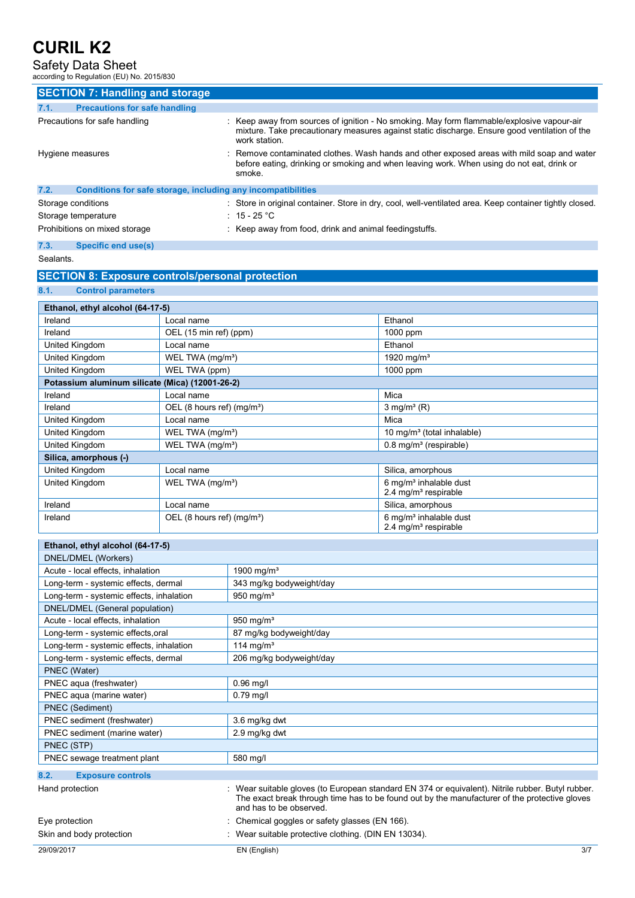### Safety Data Sheet according to Regulation (EU) No. 2015/830

|      | <b>SECTION 7: Handling and storage</b>                       |                                                                                                                                                                                                              |
|------|--------------------------------------------------------------|--------------------------------------------------------------------------------------------------------------------------------------------------------------------------------------------------------------|
| 7.1. | <b>Precautions for safe handling</b>                         |                                                                                                                                                                                                              |
|      | Precautions for safe handling                                | : Keep away from sources of ignition - No smoking. May form flammable/explosive vapour-air<br>mixture. Take precautionary measures against static discharge. Ensure good ventilation of the<br>work station. |
|      | Hygiene measures                                             | : Remove contaminated clothes. Wash hands and other exposed areas with mild soap and water<br>before eating, drinking or smoking and when leaving work. When using do not eat, drink or<br>smoke.            |
| 7.2. | Conditions for safe storage, including any incompatibilities |                                                                                                                                                                                                              |
|      | Storage conditions                                           | : Store in original container. Store in dry, cool, well-ventilated area. Keep container tightly closed.                                                                                                      |
|      | Storage temperature                                          | $\div$ 15 - 25 °C                                                                                                                                                                                            |
|      | Prohibitions on mixed storage                                | : Keep away from food, drink and animal feedingstuffs.                                                                                                                                                       |
| 7.3. | <b>Specific end use(s)</b>                                   |                                                                                                                                                                                                              |

Sealants.

#### **SECTION 8: Exposure controls/personal protection**

**8.1. Control parameters** 

| Ethanol, ethyl alcohol (64-17-5)                |                                        |                                        |  |  |
|-------------------------------------------------|----------------------------------------|----------------------------------------|--|--|
| Ireland                                         | Local name                             | Ethanol                                |  |  |
| Ireland                                         | OEL (15 min ref) (ppm)                 | 1000 ppm                               |  |  |
| United Kingdom                                  | Local name                             | Ethanol                                |  |  |
| United Kingdom                                  | WEL TWA (mg/m <sup>3</sup> )           | 1920 mg/m <sup>3</sup>                 |  |  |
| United Kingdom                                  | WEL TWA (ppm)                          | 1000 ppm                               |  |  |
| Potassium aluminum silicate (Mica) (12001-26-2) |                                        |                                        |  |  |
| Ireland                                         | Local name                             | Mica                                   |  |  |
| Ireland                                         | OEL (8 hours ref) (mg/m <sup>3</sup> ) | $3$ mg/m <sup>3</sup> (R)              |  |  |
| United Kingdom                                  | Local name                             | Mica                                   |  |  |
| United Kingdom                                  | WEL TWA (mg/m <sup>3</sup> )           | 10 mg/m <sup>3</sup> (total inhalable) |  |  |
| United Kingdom                                  | WEL TWA (mg/m <sup>3</sup> )           | $0.8$ mg/m <sup>3</sup> (respirable)   |  |  |
| Silica, amorphous (-)                           |                                        |                                        |  |  |
| United Kingdom                                  | Local name                             | Silica, amorphous                      |  |  |
| United Kingdom                                  | WEL TWA (mg/m <sup>3</sup> )           | 6 mg/m <sup>3</sup> inhalable dust     |  |  |
|                                                 |                                        | 2.4 mg/m <sup>3</sup> respirable       |  |  |
| Ireland                                         | Local name                             | Silica, amorphous                      |  |  |
| Ireland                                         | OEL (8 hours ref) $(mg/m3)$            | 6 mg/m <sup>3</sup> inhalable dust     |  |  |
|                                                 |                                        | 2.4 mg/m <sup>3</sup> respirable       |  |  |

| Ethanol, ethyl alcohol (64-17-5)         |                                                                                                                                                                                                                             |
|------------------------------------------|-----------------------------------------------------------------------------------------------------------------------------------------------------------------------------------------------------------------------------|
| DNEL/DMEL (Workers)                      |                                                                                                                                                                                                                             |
| Acute - local effects, inhalation        | 1900 mg/m $3$                                                                                                                                                                                                               |
| Long-term - systemic effects, dermal     | 343 mg/kg bodyweight/day                                                                                                                                                                                                    |
| Long-term - systemic effects, inhalation | 950 mg/ $m3$                                                                                                                                                                                                                |
| DNEL/DMEL (General population)           |                                                                                                                                                                                                                             |
| Acute - local effects, inhalation        | 950 mg/ $m3$                                                                                                                                                                                                                |
| Long-term - systemic effects.oral        | 87 mg/kg bodyweight/day                                                                                                                                                                                                     |
| Long-term - systemic effects, inhalation | 114 mg/m <sup>3</sup>                                                                                                                                                                                                       |
| Long-term - systemic effects, dermal     | 206 mg/kg bodyweight/day                                                                                                                                                                                                    |
| PNEC (Water)                             |                                                                                                                                                                                                                             |
| PNEC aqua (freshwater)                   | $0.96$ mg/l                                                                                                                                                                                                                 |
| PNEC aqua (marine water)                 | $0.79$ mg/l                                                                                                                                                                                                                 |
| PNEC (Sediment)                          |                                                                                                                                                                                                                             |
| PNEC sediment (freshwater)               | 3.6 mg/kg dwt                                                                                                                                                                                                               |
| PNEC sediment (marine water)             | 2.9 mg/kg dwt                                                                                                                                                                                                               |
| PNEC (STP)                               |                                                                                                                                                                                                                             |
| PNEC sewage treatment plant              | 580 mg/l                                                                                                                                                                                                                    |
| 8.2.<br><b>Exposure controls</b>         |                                                                                                                                                                                                                             |
| Hand protection                          | Wear suitable gloves (to European standard EN 374 or equivalent). Nitrile rubber. Butyl rubber.<br>The exact break through time has to be found out by the manufacturer of the protective gloves<br>and has to be observed. |
| Eye protection                           | Chemical goggles or safety glasses (EN 166).                                                                                                                                                                                |
| Skin and body protection                 | Wear suitable protective clothing. (DIN EN 13034).                                                                                                                                                                          |
| 29/09/2017                               | EN (English)<br>3/7                                                                                                                                                                                                         |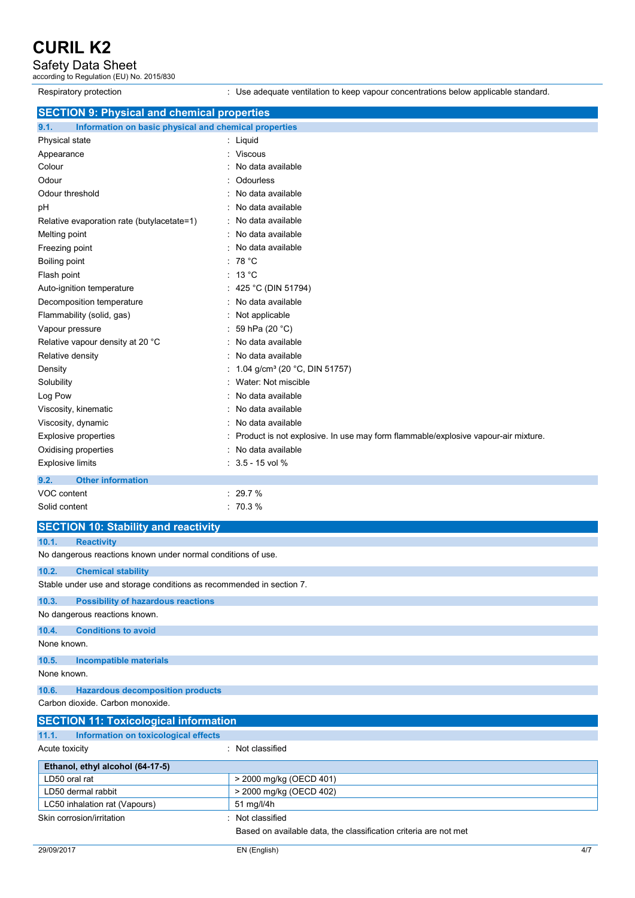# Safety Data Sheet according to Regulation (EU) No. 2015/830

Respiratory protection : Use adequate ventilation to keep vapour concentrations below applicable standard.

| <b>SECTION 9: Physical and chemical properties</b>            |                                                                                   |
|---------------------------------------------------------------|-----------------------------------------------------------------------------------|
| Information on basic physical and chemical properties<br>9.1. |                                                                                   |
| Physical state                                                | : Liquid                                                                          |
| Appearance                                                    | <b>Viscous</b>                                                                    |
| Colour                                                        | No data available                                                                 |
| Odour                                                         | Odourless                                                                         |
| Odour threshold                                               | No data available                                                                 |
| pH                                                            | No data available                                                                 |
| Relative evaporation rate (butylacetate=1)                    | No data available                                                                 |
| Melting point                                                 | No data available                                                                 |
| Freezing point                                                | No data available                                                                 |
| Boiling point                                                 | 78 °C                                                                             |
| Flash point                                                   | : 13 °C                                                                           |
| Auto-ignition temperature                                     | 425 °C (DIN 51794)                                                                |
| Decomposition temperature                                     | No data available                                                                 |
| Flammability (solid, gas)                                     | Not applicable                                                                    |
| Vapour pressure                                               | 59 hPa (20 °C)                                                                    |
| Relative vapour density at 20 °C                              | No data available                                                                 |
| Relative density                                              | No data available                                                                 |
| Density                                                       | 1.04 g/cm <sup>3</sup> (20 °C, DIN 51757)                                         |
| Solubility                                                    | Water: Not miscible                                                               |
| Log Pow                                                       | No data available                                                                 |
| Viscosity, kinematic                                          | No data available                                                                 |
| Viscosity, dynamic                                            | No data available                                                                 |
| <b>Explosive properties</b>                                   | Product is not explosive. In use may form flammable/explosive vapour-air mixture. |
| Oxidising properties                                          | No data available                                                                 |
| <b>Explosive limits</b>                                       | $: 3.5 - 15$ vol %                                                                |
| <b>Other information</b><br>9.2.                              |                                                                                   |
| VOC content                                                   | : 29.7%                                                                           |
| Solid content                                                 | : 70.3%                                                                           |
| <b>SECTION 10: Stability and reactivity</b>                   |                                                                                   |

| <b>SECTION 10: Stability and reactivity</b>                          |                                                                  |  |
|----------------------------------------------------------------------|------------------------------------------------------------------|--|
| 10.1.<br><b>Reactivity</b>                                           |                                                                  |  |
| No dangerous reactions known under normal conditions of use.         |                                                                  |  |
| 10.2.<br><b>Chemical stability</b>                                   |                                                                  |  |
| Stable under use and storage conditions as recommended in section 7. |                                                                  |  |
| 10.3.<br><b>Possibility of hazardous reactions</b>                   |                                                                  |  |
| No dangerous reactions known.                                        |                                                                  |  |
| <b>Conditions to avoid</b><br>10.4.                                  |                                                                  |  |
| None known.                                                          |                                                                  |  |
| 10.5.<br><b>Incompatible materials</b>                               |                                                                  |  |
| None known.                                                          |                                                                  |  |
| <b>Hazardous decomposition products</b><br>10.6.                     |                                                                  |  |
| Carbon dioxide, Carbon monoxide.                                     |                                                                  |  |
| <b>SECTION 11: Toxicological information</b>                         |                                                                  |  |
| 11.1.<br>Information on toxicological effects                        |                                                                  |  |
| Acute toxicity                                                       | : Not classified                                                 |  |
| Ethanol, ethyl alcohol (64-17-5)                                     |                                                                  |  |
| LD50 oral rat                                                        | > 2000 mg/kg (OECD 401)                                          |  |
| LD50 dermal rabbit                                                   | > 2000 mg/kg (OECD 402)                                          |  |
| LC50 inhalation rat (Vapours)                                        | 51 mg/l/4h                                                       |  |
| Skin corrosion/irritation                                            | Not classified                                                   |  |
|                                                                      | Based on available data, the classification criteria are not met |  |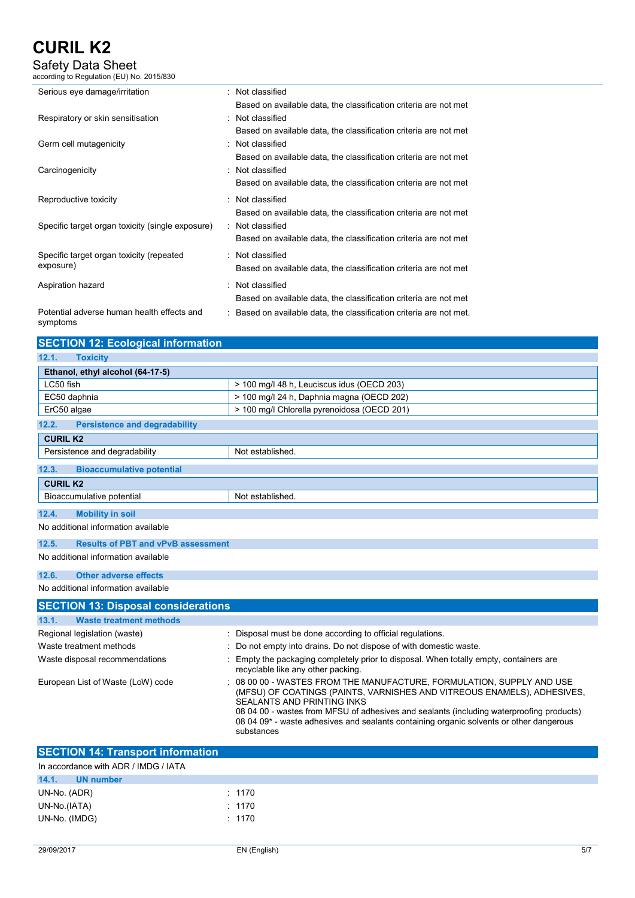Safety Data Sheet according to Regulation (EU) No. 2015/830

| Serious eye damage/irritation                          | : Not classified                                                                                                                                         |
|--------------------------------------------------------|----------------------------------------------------------------------------------------------------------------------------------------------------------|
| Respiratory or skin sensitisation                      | Based on available data, the classification criteria are not met<br>: Not classified                                                                     |
| Germ cell mutagenicity                                 | Based on available data, the classification criteria are not met<br>: Not classified                                                                     |
| Carcinogenicity                                        | Based on available data, the classification criteria are not met<br>: Not classified                                                                     |
| Reproductive toxicity                                  | Based on available data, the classification criteria are not met<br>: Not classified                                                                     |
| Specific target organ toxicity (single exposure)       | Based on available data, the classification criteria are not met<br>: Not classified<br>Based on available data, the classification criteria are not met |
| Specific target organ toxicity (repeated<br>exposure)  | : Not classified<br>Based on available data, the classification criteria are not met                                                                     |
| Aspiration hazard                                      | : Not classified<br>Based on available data, the classification criteria are not met                                                                     |
| Potential adverse human health effects and<br>symptoms | : Based on available data, the classification criteria are not met.                                                                                      |

| <b>SECTION 12: Ecological information</b>          |                                                                                                                                                                                                                                                                                                                                                                                          |
|----------------------------------------------------|------------------------------------------------------------------------------------------------------------------------------------------------------------------------------------------------------------------------------------------------------------------------------------------------------------------------------------------------------------------------------------------|
| 12.1.<br><b>Toxicity</b>                           |                                                                                                                                                                                                                                                                                                                                                                                          |
| Ethanol, ethyl alcohol (64-17-5)                   |                                                                                                                                                                                                                                                                                                                                                                                          |
| LC50 fish                                          | > 100 mg/l 48 h, Leuciscus idus (OECD 203)                                                                                                                                                                                                                                                                                                                                               |
| EC50 daphnia                                       | > 100 mg/l 24 h, Daphnia magna (OECD 202)                                                                                                                                                                                                                                                                                                                                                |
| ErC50 algae                                        | > 100 mg/l Chlorella pyrenoidosa (OECD 201)                                                                                                                                                                                                                                                                                                                                              |
| 12.2.<br><b>Persistence and degradability</b>      |                                                                                                                                                                                                                                                                                                                                                                                          |
| <b>CURIL K2</b>                                    |                                                                                                                                                                                                                                                                                                                                                                                          |
| Persistence and degradability                      | Not established.                                                                                                                                                                                                                                                                                                                                                                         |
| 12.3.<br><b>Bioaccumulative potential</b>          |                                                                                                                                                                                                                                                                                                                                                                                          |
| <b>CURIL K2</b>                                    |                                                                                                                                                                                                                                                                                                                                                                                          |
| Bioaccumulative potential                          | Not established.                                                                                                                                                                                                                                                                                                                                                                         |
| 12.4.<br><b>Mobility in soil</b>                   |                                                                                                                                                                                                                                                                                                                                                                                          |
| No additional information available                |                                                                                                                                                                                                                                                                                                                                                                                          |
| <b>Results of PBT and vPvB assessment</b><br>12.5. |                                                                                                                                                                                                                                                                                                                                                                                          |
| No additional information available                |                                                                                                                                                                                                                                                                                                                                                                                          |
| 12.6.<br><b>Other adverse effects</b>              |                                                                                                                                                                                                                                                                                                                                                                                          |
| No additional information available                |                                                                                                                                                                                                                                                                                                                                                                                          |
| <b>SECTION 13: Disposal considerations</b>         |                                                                                                                                                                                                                                                                                                                                                                                          |
| 13.1.<br><b>Waste treatment methods</b>            |                                                                                                                                                                                                                                                                                                                                                                                          |
| Regional legislation (waste)                       | Disposal must be done according to official regulations.                                                                                                                                                                                                                                                                                                                                 |
| Waste treatment methods                            | Do not empty into drains. Do not dispose of with domestic waste.                                                                                                                                                                                                                                                                                                                         |
| Waste disposal recommendations                     | Empty the packaging completely prior to disposal. When totally empty, containers are<br>recyclable like any other packing.                                                                                                                                                                                                                                                               |
| European List of Waste (LoW) code                  | 08 00 00 - WASTES FROM THE MANUFACTURE, FORMULATION, SUPPLY AND USE<br>(MFSU) OF COATINGS (PAINTS, VARNISHES AND VITREOUS ENAMELS), ADHESIVES,<br><b>SEALANTS AND PRINTING INKS</b><br>08 04 00 - wastes from MFSU of adhesives and sealants (including waterproofing products)<br>08 04 09* - waste adhesives and sealants containing organic solvents or other dangerous<br>substances |

| <b>SECTION 14: Transport information</b> |        |  |  |
|------------------------------------------|--------|--|--|
| In accordance with ADR / IMDG / IATA     |        |  |  |
| 14.1.<br><b>UN</b> number                |        |  |  |
| UN-No. (ADR)                             | : 1170 |  |  |
| UN-No.(IATA)                             | : 1170 |  |  |
| UN-No. (IMDG)                            | : 1170 |  |  |
|                                          |        |  |  |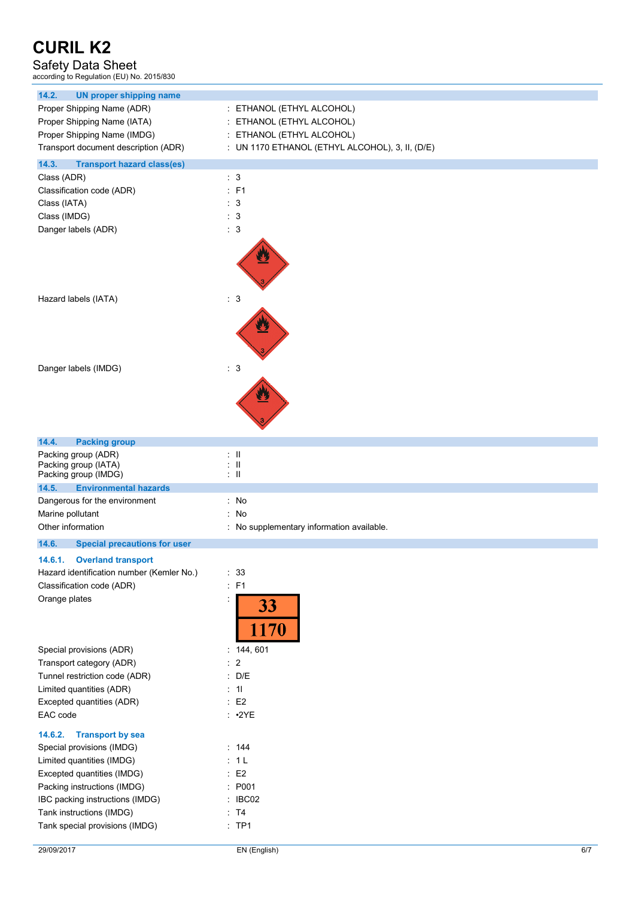# Safety Data Sheet according to Regulation (EU) No. 2015/830

| <b>UN proper shipping name</b><br>14.2.                             |                                                   |
|---------------------------------------------------------------------|---------------------------------------------------|
|                                                                     |                                                   |
| Proper Shipping Name (ADR)                                          | : ETHANOL (ETHYL ALCOHOL)                         |
| Proper Shipping Name (IATA)                                         | : ETHANOL (ETHYL ALCOHOL)                         |
| Proper Shipping Name (IMDG)                                         | : ETHANOL (ETHYL ALCOHOL)                         |
| Transport document description (ADR)                                | : UN 1170 ETHANOL (ETHYL ALCOHOL), 3, II, (D/E)   |
| 14.3.<br><b>Transport hazard class(es)</b>                          |                                                   |
| Class (ADR)                                                         | : 3                                               |
| Classification code (ADR)                                           | : F1                                              |
| Class (IATA)                                                        | $\therefore$ 3                                    |
| Class (IMDG)                                                        | : 3                                               |
| Danger labels (ADR)                                                 | : 3                                               |
|                                                                     |                                                   |
| Hazard labels (IATA)                                                | : 3                                               |
|                                                                     |                                                   |
| Danger labels (IMDG)                                                | $\therefore$ 3                                    |
|                                                                     |                                                   |
| 14.4.<br><b>Packing group</b>                                       |                                                   |
| Packing group (ADR)<br>Packing group (IATA)<br>Packing group (IMDG) | $\pm$ 11<br>$\pm$ 11<br>$\mathbb{Z}^{\mathbb{Z}}$ |
| 14.5.<br><b>Environmental hazards</b>                               |                                                   |
| Dangerous for the environment                                       | : No                                              |
| Marine pollutant                                                    | : No                                              |
| Other information                                                   | : No supplementary information available.         |
| 14.6.<br><b>Special precautions for user</b>                        |                                                   |
| 14.6.1.<br><b>Overland transport</b>                                |                                                   |
| Hazard identification number (Kemler No.)                           | : 33                                              |
| Classification code (ADR)                                           | : F1                                              |
| Orange plates                                                       | İ,                                                |
|                                                                     | 33<br>1170                                        |
| Special provisions (ADR)                                            | : 144, 601                                        |
| Transport category (ADR)                                            | $\overline{c}$                                    |
| Tunnel restriction code (ADR)                                       | $\therefore$ D/E                                  |
| Limited quantities (ADR)                                            | : 11                                              |
| Excepted quantities (ADR)                                           | E2                                                |
| EAC code                                                            | $: \cdot2YE$                                      |
| <b>Transport by sea</b><br>14.6.2.                                  |                                                   |
| Special provisions (IMDG)                                           | : 144                                             |
| Limited quantities (IMDG)                                           | : 1L                                              |
| Excepted quantities (IMDG)                                          | E2                                                |
| Packing instructions (IMDG)                                         | : P001                                            |
| IBC packing instructions (IMDG)                                     | : IBC02                                           |
| Tank instructions (IMDG)                                            | : T4                                              |
| Tank special provisions (IMDG)                                      | : TPI                                             |
|                                                                     |                                                   |